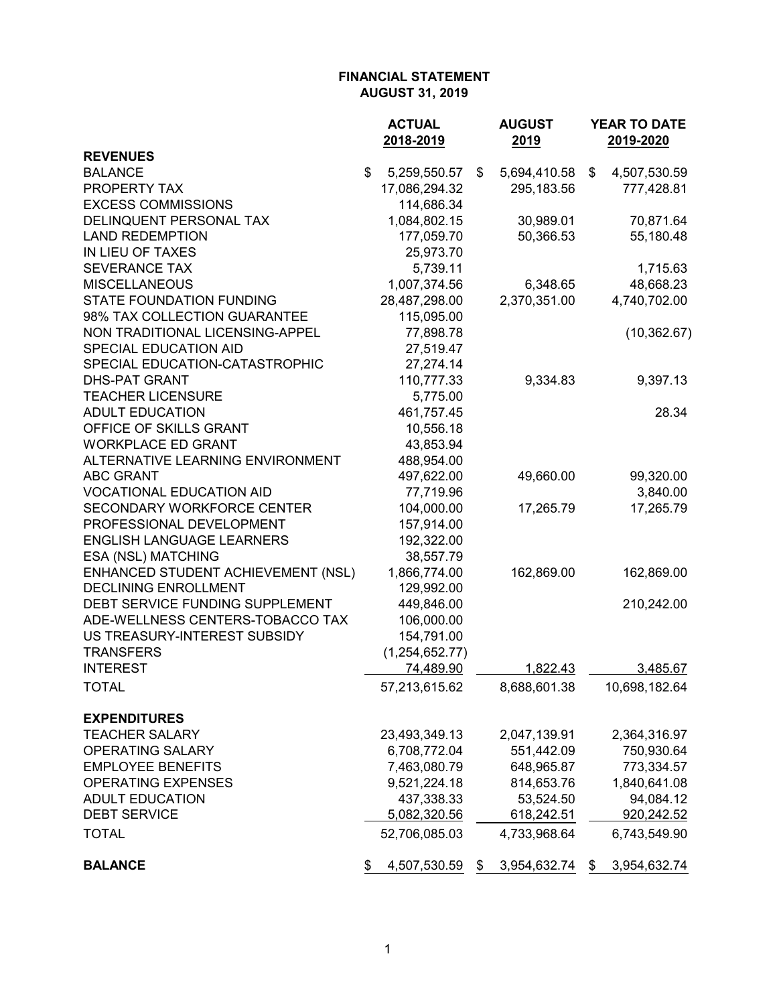|                                    | <b>ACTUAL</b>      | <b>AUGUST</b>      | YEAR TO DATE       |
|------------------------------------|--------------------|--------------------|--------------------|
|                                    | 2018-2019          | 2019               | 2019-2020          |
| <b>REVENUES</b>                    |                    |                    |                    |
| <b>BALANCE</b>                     | \$<br>5,259,550.57 | \$<br>5,694,410.58 | \$<br>4,507,530.59 |
| PROPERTY TAX                       | 17,086,294.32      | 295,183.56         | 777,428.81         |
| <b>EXCESS COMMISSIONS</b>          | 114,686.34         |                    |                    |
| DELINQUENT PERSONAL TAX            | 1,084,802.15       | 30,989.01          | 70,871.64          |
| <b>LAND REDEMPTION</b>             | 177,059.70         | 50,366.53          | 55,180.48          |
| IN LIEU OF TAXES                   | 25,973.70          |                    |                    |
| <b>SEVERANCE TAX</b>               | 5,739.11           |                    | 1,715.63           |
| <b>MISCELLANEOUS</b>               | 1,007,374.56       | 6,348.65           | 48,668.23          |
| <b>STATE FOUNDATION FUNDING</b>    | 28,487,298.00      | 2,370,351.00       | 4,740,702.00       |
| 98% TAX COLLECTION GUARANTEE       | 115,095.00         |                    |                    |
| NON TRADITIONAL LICENSING-APPEL    | 77,898.78          |                    | (10, 362.67)       |
| SPECIAL EDUCATION AID              | 27,519.47          |                    |                    |
| SPECIAL EDUCATION-CATASTROPHIC     | 27,274.14          |                    |                    |
| <b>DHS-PAT GRANT</b>               | 110,777.33         | 9,334.83           | 9,397.13           |
| <b>TEACHER LICENSURE</b>           | 5,775.00           |                    |                    |
| <b>ADULT EDUCATION</b>             | 461,757.45         |                    | 28.34              |
| OFFICE OF SKILLS GRANT             | 10,556.18          |                    |                    |
| <b>WORKPLACE ED GRANT</b>          | 43,853.94          |                    |                    |
| ALTERNATIVE LEARNING ENVIRONMENT   | 488,954.00         |                    |                    |
| <b>ABC GRANT</b>                   | 497,622.00         | 49,660.00          | 99,320.00          |
| <b>VOCATIONAL EDUCATION AID</b>    | 77,719.96          |                    | 3,840.00           |
| <b>SECONDARY WORKFORCE CENTER</b>  | 104,000.00         | 17,265.79          | 17,265.79          |
| PROFESSIONAL DEVELOPMENT           | 157,914.00         |                    |                    |
| <b>ENGLISH LANGUAGE LEARNERS</b>   | 192,322.00         |                    |                    |
| ESA (NSL) MATCHING                 | 38,557.79          |                    |                    |
| ENHANCED STUDENT ACHIEVEMENT (NSL) | 1,866,774.00       | 162,869.00         | 162,869.00         |
| <b>DECLINING ENROLLMENT</b>        | 129,992.00         |                    |                    |
| DEBT SERVICE FUNDING SUPPLEMENT    | 449,846.00         |                    | 210,242.00         |
| ADE-WELLNESS CENTERS-TOBACCO TAX   | 106,000.00         |                    |                    |
| US TREASURY-INTEREST SUBSIDY       | 154,791.00         |                    |                    |
| <b>TRANSFERS</b>                   | (1, 254, 652.77)   |                    |                    |
| <b>INTEREST</b>                    | 74,489.90          | 1,822.43           | 3,485.67           |
| <b>TOTAL</b>                       | 57,213,615.62      | 8,688,601.38       | 10,698,182.64      |
| <b>EXPENDITURES</b>                |                    |                    |                    |
| <b>TEACHER SALARY</b>              | 23,493,349.13      | 2,047,139.91       | 2,364,316.97       |
| <b>OPERATING SALARY</b>            | 6,708,772.04       | 551,442.09         | 750,930.64         |
| <b>EMPLOYEE BENEFITS</b>           | 7,463,080.79       | 648,965.87         | 773,334.57         |
| <b>OPERATING EXPENSES</b>          | 9,521,224.18       | 814,653.76         | 1,840,641.08       |
| <b>ADULT EDUCATION</b>             | 437,338.33         | 53,524.50          | 94,084.12          |
| <b>DEBT SERVICE</b>                | 5,082,320.56       | 618,242.51         | 920,242.52         |
| <b>TOTAL</b>                       | 52,706,085.03      | 4,733,968.64       | 6,743,549.90       |
| <b>BALANCE</b>                     | \$<br>4,507,530.59 | \$<br>3,954,632.74 | \$<br>3,954,632.74 |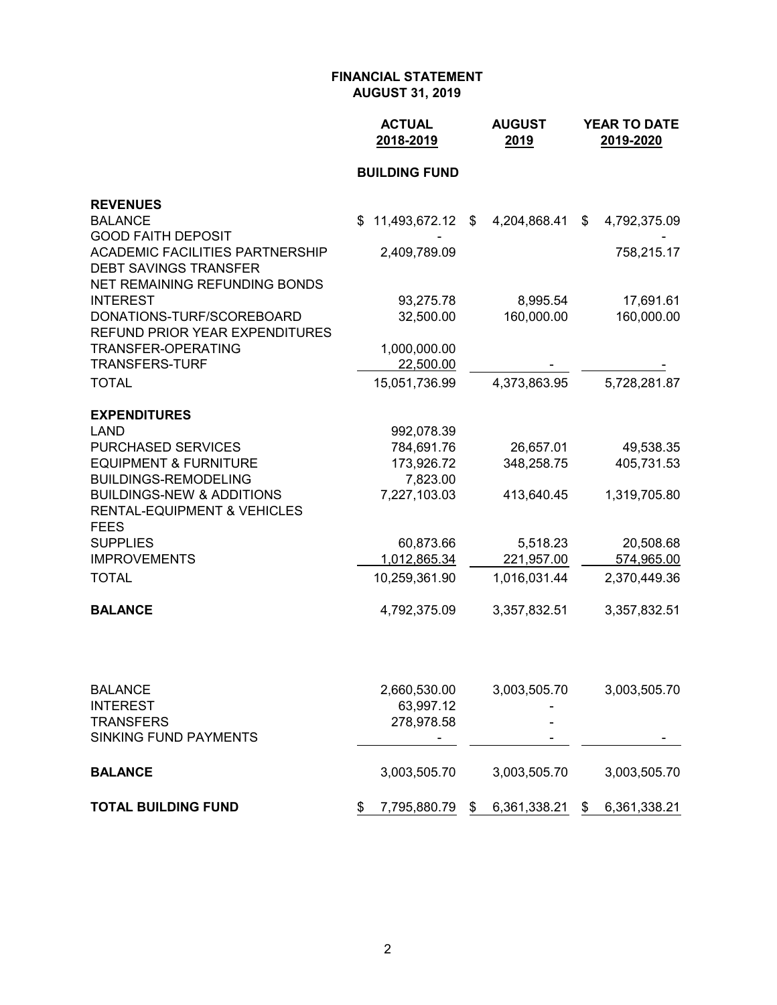|                                                                                                         | <b>ACTUAL</b><br>2018-2019 | <b>AUGUST</b><br>2019 | YEAR TO DATE<br>2019-2020 |
|---------------------------------------------------------------------------------------------------------|----------------------------|-----------------------|---------------------------|
|                                                                                                         | <b>BUILDING FUND</b>       |                       |                           |
| <b>REVENUES</b>                                                                                         |                            |                       |                           |
| <b>BALANCE</b><br><b>GOOD FAITH DEPOSIT</b>                                                             | 11,493,672.12<br>\$        | 4,204,868.41<br>\$    | \$<br>4,792,375.09        |
| <b>ACADEMIC FACILITIES PARTNERSHIP</b><br><b>DEBT SAVINGS TRANSFER</b><br>NET REMAINING REFUNDING BONDS | 2,409,789.09               |                       | 758,215.17                |
| <b>INTEREST</b>                                                                                         | 93,275.78                  | 8,995.54              | 17,691.61                 |
| DONATIONS-TURF/SCOREBOARD<br><b>REFUND PRIOR YEAR EXPENDITURES</b>                                      | 32,500.00                  | 160,000.00            | 160,000.00                |
| TRANSFER-OPERATING                                                                                      | 1,000,000.00               |                       |                           |
| <b>TRANSFERS-TURF</b>                                                                                   | 22,500.00                  |                       |                           |
| <b>TOTAL</b>                                                                                            | 15,051,736.99              | 4,373,863.95          | 5,728,281.87              |
| <b>EXPENDITURES</b>                                                                                     |                            |                       |                           |
| <b>LAND</b>                                                                                             | 992,078.39                 |                       |                           |
| PURCHASED SERVICES                                                                                      | 784,691.76                 | 26,657.01             | 49,538.35                 |
| <b>EQUIPMENT &amp; FURNITURE</b>                                                                        | 173,926.72                 | 348,258.75            | 405,731.53                |
| <b>BUILDINGS-REMODELING</b>                                                                             | 7,823.00                   |                       |                           |
| <b>BUILDINGS-NEW &amp; ADDITIONS</b><br><b>RENTAL-EQUIPMENT &amp; VEHICLES</b><br><b>FEES</b>           | 7,227,103.03               | 413,640.45            | 1,319,705.80              |
| <b>SUPPLIES</b>                                                                                         | 60,873.66                  | 5,518.23              | 20,508.68                 |
| <b>IMPROVEMENTS</b>                                                                                     | 1,012,865.34               | 221,957.00            | 574,965.00                |
| <b>TOTAL</b>                                                                                            | 10,259,361.90              | 1,016,031.44          | 2,370,449.36              |
| <b>BALANCE</b>                                                                                          | 4,792,375.09               | 3,357,832.51          | 3,357,832.51              |
|                                                                                                         |                            |                       |                           |
| <b>BALANCE</b>                                                                                          | 2,660,530.00               | 3,003,505.70          | 3,003,505.70              |
| <b>INTEREST</b><br><b>TRANSFERS</b>                                                                     | 63,997.12<br>278,978.58    |                       |                           |
| <b>SINKING FUND PAYMENTS</b>                                                                            |                            |                       |                           |
| <b>BALANCE</b>                                                                                          | 3,003,505.70               | 3,003,505.70          | 3,003,505.70              |
| <b>TOTAL BUILDING FUND</b>                                                                              | 7,795,880.79<br>\$         | 6,361,338.21<br>\$    | 6,361,338.21<br>\$        |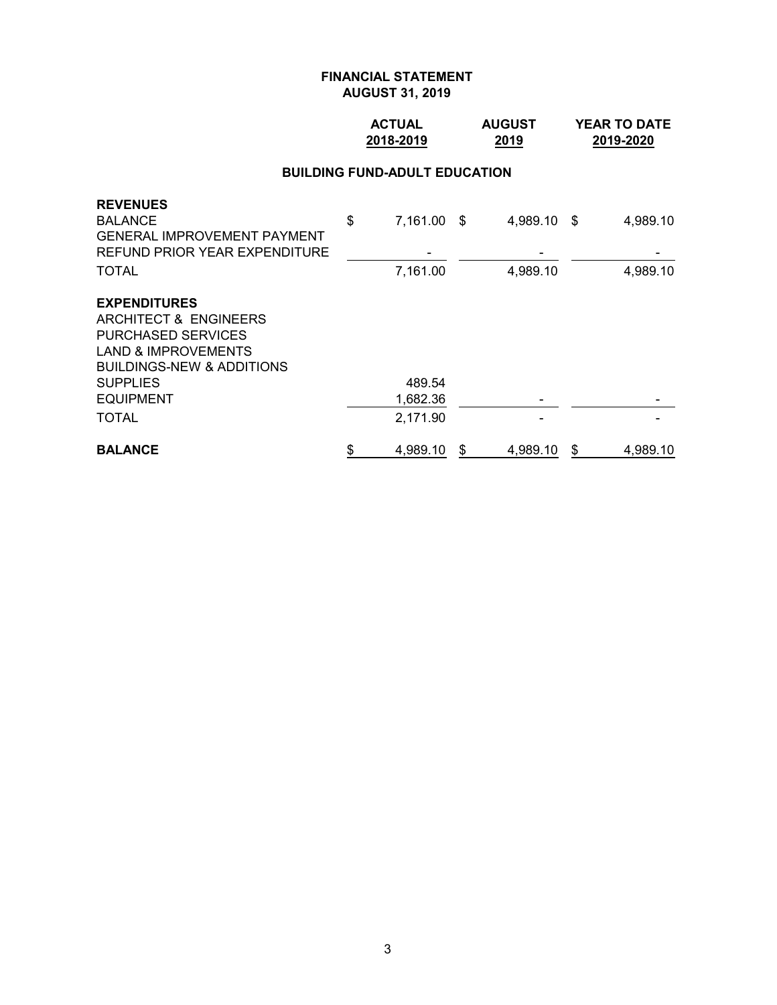### **ACTUAL AUGUST YEAR TO DATE 2018-2019 2019 2019-2020**

#### **BUILDING FUND-ADULT EDUCATION**

| <b>REVENUES</b>                      |                   |   |             |                |
|--------------------------------------|-------------------|---|-------------|----------------|
| <b>BALANCE</b>                       | \$<br>7,161.00 \$ |   | 4,989.10 \$ | 4,989.10       |
| <b>GENERAL IMPROVEMENT PAYMENT</b>   |                   |   |             |                |
| <b>REFUND PRIOR YEAR EXPENDITURE</b> |                   |   |             |                |
| <b>TOTAL</b>                         | 7,161.00          |   | 4,989.10    | 4,989.10       |
| <b>EXPENDITURES</b>                  |                   |   |             |                |
| <b>ARCHITECT &amp; ENGINEERS</b>     |                   |   |             |                |
| <b>PURCHASED SERVICES</b>            |                   |   |             |                |
| <b>LAND &amp; IMPROVEMENTS</b>       |                   |   |             |                |
| <b>BUILDINGS-NEW &amp; ADDITIONS</b> |                   |   |             |                |
| <b>SUPPLIES</b>                      | 489.54            |   |             |                |
| <b>EQUIPMENT</b>                     | 1,682.36          |   |             |                |
| <b>TOTAL</b>                         | 2,171.90          |   |             |                |
| <b>BALANCE</b>                       | \$<br>4,989.10    | S | 4,989.10    | \$<br>4,989.10 |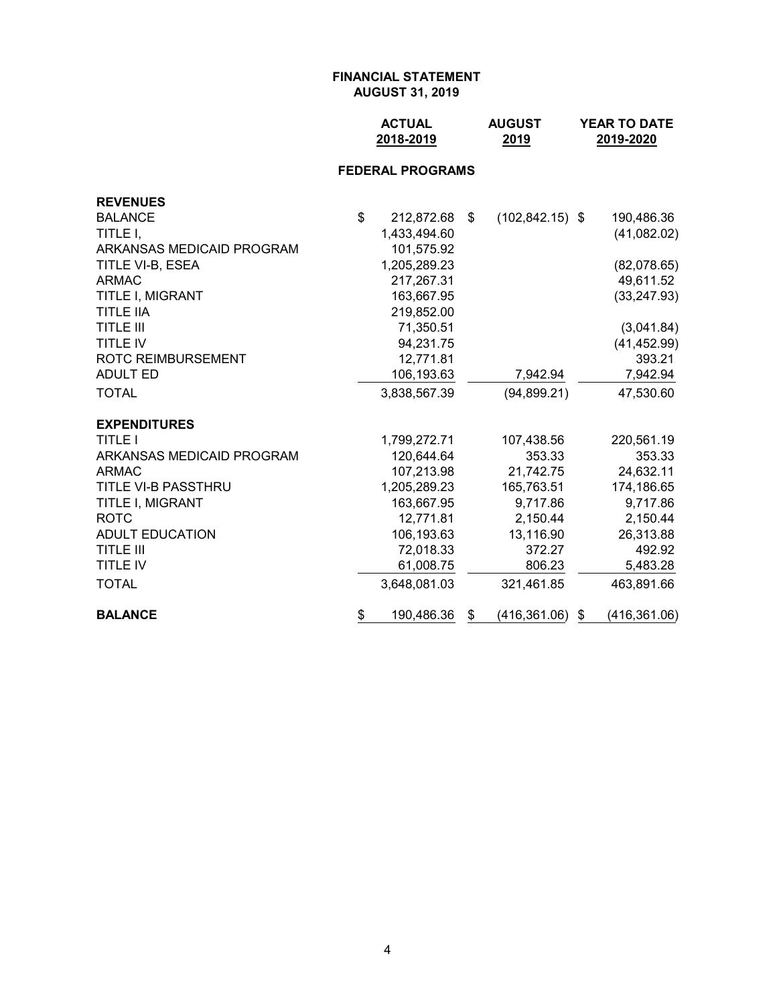| <b>ACTUAL</b> | <b>AUGUST</b> | <b>YEAR TO DATE</b> |
|---------------|---------------|---------------------|
| 2018-2019     | 2019          | 2019-2020           |

# **FEDERAL PROGRAMS**

| <b>REVENUES</b>           |                  |                          |                     |
|---------------------------|------------------|--------------------------|---------------------|
| <b>BALANCE</b>            | \$<br>212,872.68 | \$<br>$(102, 842.15)$ \$ | 190,486.36          |
| TITLE I.                  | 1,433,494.60     |                          | (41,082.02)         |
| ARKANSAS MEDICAID PROGRAM | 101,575.92       |                          |                     |
| TITLE VI-B, ESEA          | 1,205,289.23     |                          | (82,078.65)         |
| <b>ARMAC</b>              | 217,267.31       |                          | 49,611.52           |
| TITLE I, MIGRANT          | 163,667.95       |                          | (33, 247.93)        |
| <b>TITLE IIA</b>          | 219,852.00       |                          |                     |
| <b>TITLE III</b>          | 71,350.51        |                          | (3,041.84)          |
| <b>TITLE IV</b>           | 94,231.75        |                          | (41, 452.99)        |
| <b>ROTC REIMBURSEMENT</b> | 12,771.81        |                          | 393.21              |
| <b>ADULT ED</b>           | 106,193.63       | 7,942.94                 | 7,942.94            |
| <b>TOTAL</b>              | 3,838,567.39     | (94, 899.21)             | 47,530.60           |
| <b>EXPENDITURES</b>       |                  |                          |                     |
| <b>TITLE I</b>            | 1,799,272.71     | 107,438.56               | 220,561.19          |
| ARKANSAS MEDICAID PROGRAM | 120,644.64       | 353.33                   | 353.33              |
| <b>ARMAC</b>              | 107,213.98       | 21,742.75                | 24,632.11           |
| TITLE VI-B PASSTHRU       | 1,205,289.23     | 165,763.51               | 174,186.65          |
| TITLE I, MIGRANT          | 163,667.95       | 9,717.86                 | 9,717.86            |
| <b>ROTC</b>               | 12,771.81        | 2,150.44                 | 2,150.44            |
| <b>ADULT EDUCATION</b>    | 106,193.63       | 13,116.90                | 26,313.88           |
| <b>TITLE III</b>          | 72,018.33        | 372.27                   | 492.92              |
| <b>TITLE IV</b>           | 61,008.75        | 806.23                   | 5,483.28            |
| <b>TOTAL</b>              | 3,648,081.03     | 321,461.85               | 463,891.66          |
| <b>BALANCE</b>            | \$<br>190,486.36 | \$<br>(416, 361.06)      | \$<br>(416, 361.06) |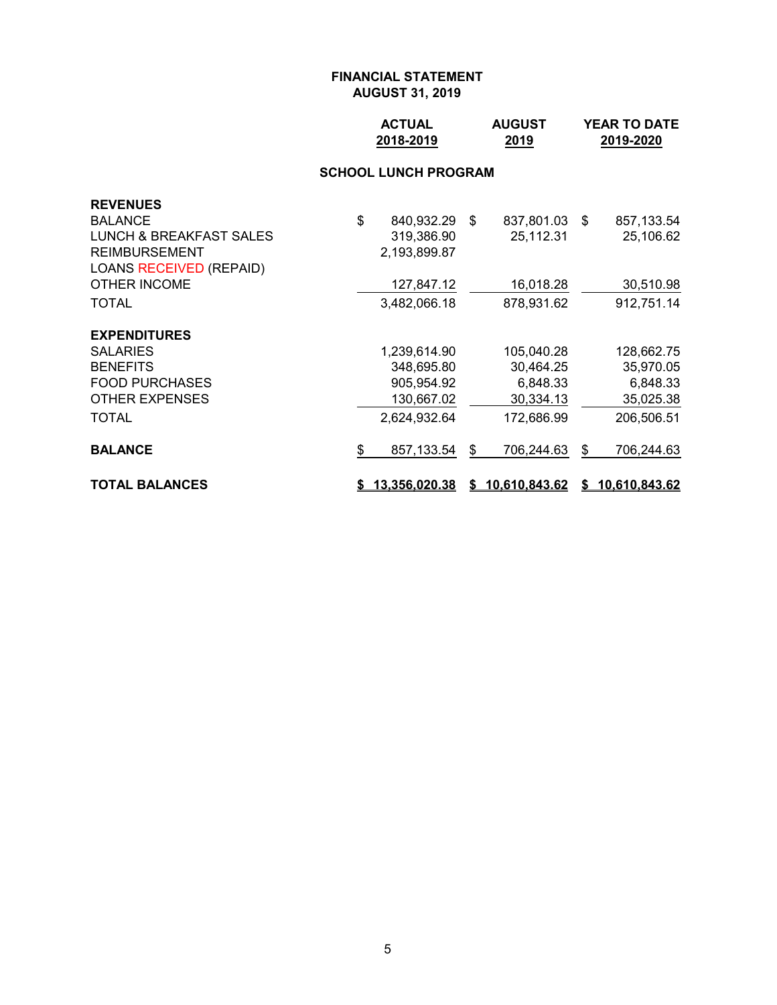| <b>ACTUAL</b> | <b>AUGUST</b> | <b>YEAR TO DATE</b> |
|---------------|---------------|---------------------|
| 2018-2019     | 2019          | 2019-2020           |

# **SCHOOL LUNCH PROGRAM**

| <b>REVENUES</b>                |                     |                  |      |                 |
|--------------------------------|---------------------|------------------|------|-----------------|
| <b>BALANCE</b>                 | \$<br>840,932.29 \$ | 837,801.03       | - \$ | 857, 133.54     |
| LUNCH & BREAKFAST SALES        | 319,386.90          | 25,112.31        |      | 25,106.62       |
| <b>REIMBURSEMENT</b>           | 2,193,899.87        |                  |      |                 |
| <b>LOANS RECEIVED (REPAID)</b> |                     |                  |      |                 |
| OTHER INCOME                   | 127,847.12          | 16,018.28        |      | 30,510.98       |
| <b>TOTAL</b>                   | 3,482,066.18        | 878,931.62       |      | 912,751.14      |
| <b>EXPENDITURES</b>            |                     |                  |      |                 |
| <b>SALARIES</b>                | 1,239,614.90        | 105,040.28       |      | 128,662.75      |
| <b>BENEFITS</b>                | 348,695.80          | 30,464.25        |      | 35,970.05       |
| <b>FOOD PURCHASES</b>          | 905,954.92          | 6,848.33         |      | 6,848.33        |
| <b>OTHER EXPENSES</b>          | 130,667.02          | 30,334.13        |      | 35,025.38       |
| <b>TOTAL</b>                   | 2,624,932.64        | 172,686.99       |      | 206,506.51      |
| <b>BALANCE</b>                 | \$<br>857,133.54    | \$<br>706,244.63 | \$   | 706,244.63      |
| <b>TOTAL BALANCES</b>          | \$13,356,020.38     | \$10,610,843.62  |      | \$10,610,843.62 |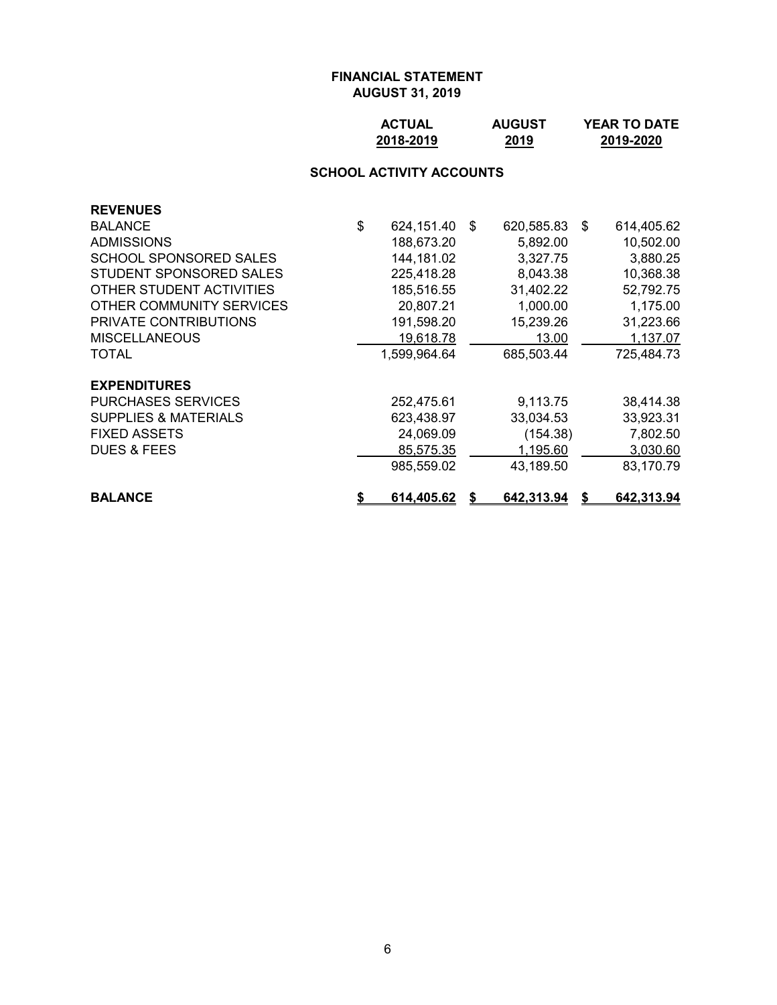| <b>ACTUAL</b> | <b>AUGUST</b> | <b>YEAR TO DATE</b> |
|---------------|---------------|---------------------|
| 2018-2019     | 2019          | 2019-2020           |

# **SCHOOL ACTIVITY ACCOUNTS**

| <b>REVENUES</b>                 |                     |            |    |            |
|---------------------------------|---------------------|------------|----|------------|
| <b>BALANCE</b>                  | \$<br>624,151.40 \$ | 620,585.83 | -S | 614,405.62 |
| <b>ADMISSIONS</b>               | 188,673.20          | 5,892.00   |    | 10,502.00  |
| SCHOOL SPONSORED SALES          | 144,181.02          | 3,327.75   |    | 3,880.25   |
| STUDENT SPONSORED SALES         | 225,418.28          | 8,043.38   |    | 10,368.38  |
| OTHER STUDENT ACTIVITIES        | 185,516.55          | 31,402.22  |    | 52,792.75  |
| OTHER COMMUNITY SERVICES        | 20,807.21           | 1,000.00   |    | 1,175.00   |
| <b>PRIVATE CONTRIBUTIONS</b>    | 191,598.20          | 15,239.26  |    | 31,223.66  |
| <b>MISCELLANEOUS</b>            | 19,618.78           | 13.00      |    | 1,137.07   |
| TOTAL                           | 1,599,964.64        | 685,503.44 |    | 725,484.73 |
| <b>EXPENDITURES</b>             |                     |            |    |            |
| <b>PURCHASES SERVICES</b>       | 252,475.61          | 9,113.75   |    | 38,414.38  |
| <b>SUPPLIES &amp; MATERIALS</b> | 623,438.97          | 33,034.53  |    | 33,923.31  |
| <b>FIXED ASSETS</b>             | 24,069.09           | (154.38)   |    | 7,802.50   |
| <b>DUES &amp; FEES</b>          | 85,575.35           | 1,195.60   |    | 3,030.60   |
|                                 | 985,559.02          | 43,189.50  |    | 83,170.79  |
| <b>BALANCE</b>                  | 614,405.62          | 642,313.94 |    | 642,313.94 |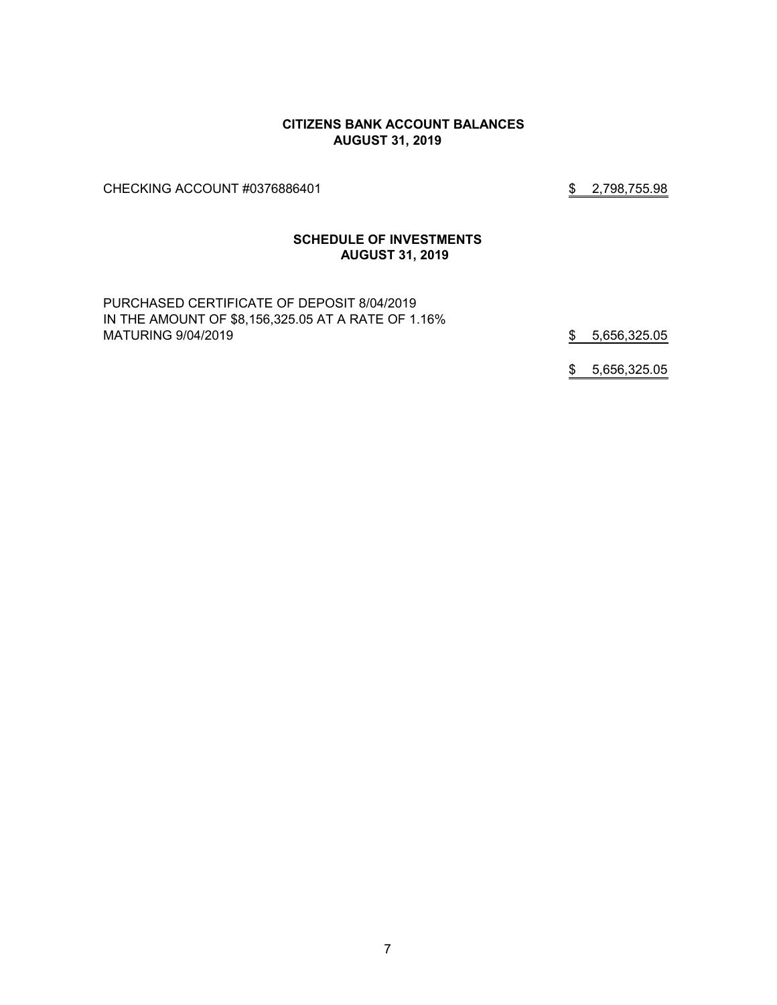#### **CITIZENS BANK ACCOUNT BALANCES AUGUST 31, 2019**

CHECKING ACCOUNT #0376886401 \$2,798,755.98

#### **SCHEDULE OF INVESTMENTS AUGUST 31, 2019**

PURCHASED CERTIFICATE OF DEPOSIT 8/04/2019 IN THE AMOUNT OF \$8,156,325.05 AT A RATE OF 1.16% MATURING 9/04/2019 \$ 5,656,325.05

\$ 5,656,325.05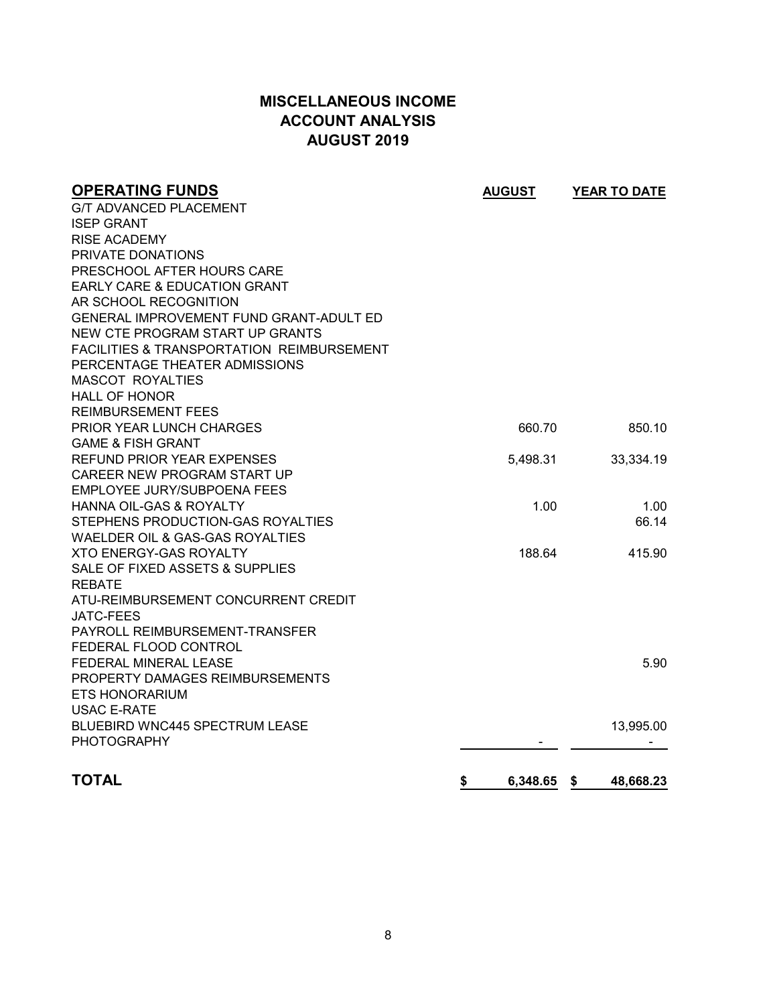# **MISCELLANEOUS INCOME ACCOUNT ANALYSIS AUGUST 2019**

| <b>OPERATING FUNDS</b>                               | <b>AUGUST</b>  | YEAR TO DATE     |
|------------------------------------------------------|----------------|------------------|
| <b>G/T ADVANCED PLACEMENT</b>                        |                |                  |
| <b>ISEP GRANT</b>                                    |                |                  |
| <b>RISE ACADEMY</b>                                  |                |                  |
| PRIVATE DONATIONS                                    |                |                  |
| PRESCHOOL AFTER HOURS CARE                           |                |                  |
| <b>EARLY CARE &amp; EDUCATION GRANT</b>              |                |                  |
| AR SCHOOL RECOGNITION                                |                |                  |
| <b>GENERAL IMPROVEMENT FUND GRANT-ADULT ED</b>       |                |                  |
| NEW CTE PROGRAM START UP GRANTS                      |                |                  |
| <b>FACILITIES &amp; TRANSPORTATION REIMBURSEMENT</b> |                |                  |
| PERCENTAGE THEATER ADMISSIONS                        |                |                  |
| <b>MASCOT ROYALTIES</b>                              |                |                  |
| <b>HALL OF HONOR</b>                                 |                |                  |
| <b>REIMBURSEMENT FEES</b>                            |                |                  |
| PRIOR YEAR LUNCH CHARGES                             | 660.70         | 850.10           |
| <b>GAME &amp; FISH GRANT</b>                         |                |                  |
| <b>REFUND PRIOR YEAR EXPENSES</b>                    | 5,498.31       | 33,334.19        |
| CAREER NEW PROGRAM START UP                          |                |                  |
| EMPLOYEE JURY/SUBPOENA FEES                          |                |                  |
| HANNA OIL-GAS & ROYALTY                              | 1.00           | 1.00             |
| STEPHENS PRODUCTION-GAS ROYALTIES                    |                | 66.14            |
| WAELDER OIL & GAS-GAS ROYALTIES                      |                |                  |
| <b>XTO ENERGY-GAS ROYALTY</b>                        | 188.64         | 415.90           |
| SALE OF FIXED ASSETS & SUPPLIES                      |                |                  |
| <b>REBATE</b>                                        |                |                  |
| ATU-REIMBURSEMENT CONCURRENT CREDIT                  |                |                  |
| JATC-FEES                                            |                |                  |
| PAYROLL REIMBURSEMENT-TRANSFER                       |                |                  |
| FEDERAL FLOOD CONTROL                                |                |                  |
| <b>FEDERAL MINERAL LEASE</b>                         |                | 5.90             |
| PROPERTY DAMAGES REIMBURSEMENTS                      |                |                  |
| <b>ETS HONORARIUM</b>                                |                |                  |
| <b>USAC E-RATE</b>                                   |                |                  |
| <b>BLUEBIRD WNC445 SPECTRUM LEASE</b>                |                | 13,995.00        |
| <b>PHOTOGRAPHY</b>                                   |                |                  |
|                                                      |                |                  |
| <b>TOTAL</b>                                         | \$<br>6,348.65 | -\$<br>48,668.23 |